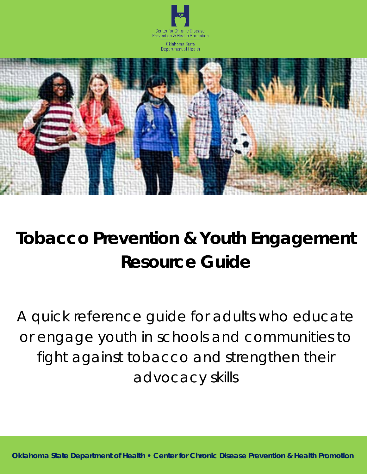



# **Tobacco Prevention & Youth Engagement Resource Guide**

*A quick reference guide for adults who educate or engage youth in schools and communities to fight against tobacco and strengthen their advocacy skills*

**Oklahoma State Department of Health • Center for Chronic Disease Prevention & Health Promotion**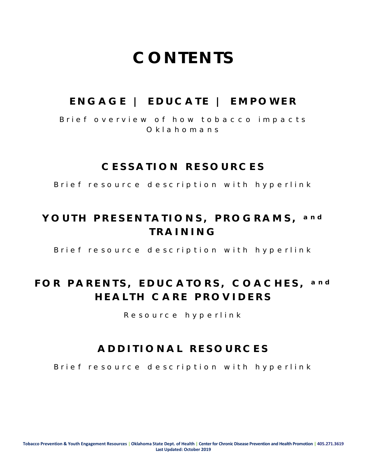## **CONTENTS**

### **ENGAGE | EDUCATE | EMPOWER**

*Brief overview of how tobacco impacts Oklahomans*

### **CESSATION RESOURCES**

*Brief resource description with hyperlink*

### **YOUTH PRESENTATIONS, PROGRAMS, and TRAINING**

*Brief resource description with hyperlink*

### **FOR PARENTS, EDUCATORS, COACHES, and HEALTH CARE PROVIDERS**

*R esource hyperlink*

### **ADDITIONAL RESOURCES**

*Brief resource description with hyperlink*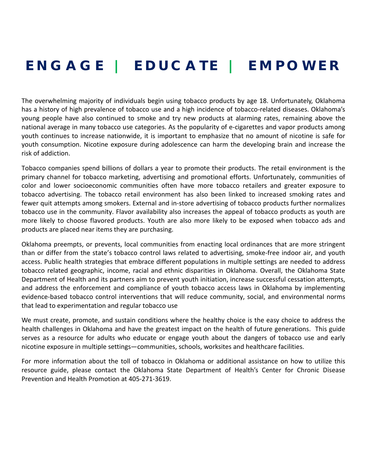### **E NGAGE | E DUCATE | E MPOWER**

The overwhelming majority of individuals begin using tobacco products by age 18. Unfortunately, Oklahoma has a history of high prevalence of tobacco use and a high incidence of tobacco-related diseases. Oklahoma's young people have also continued to smoke and try new products at alarming rates, remaining above the national average in many tobacco use categories. As the popularity of e-cigarettes and vapor products among youth continues to increase nationwide, it is important to emphasize that no amount of nicotine is safe for youth consumption. Nicotine exposure during adolescence can harm the developing brain and increase the risk of addiction.

Tobacco companies spend billions of dollars a year to promote their products. The retail environment is the primary channel for tobacco marketing, advertising and promotional efforts. Unfortunately, communities of color and lower socioeconomic communities often have more tobacco retailers and greater exposure to tobacco advertising. The tobacco retail environment has also been linked to increased smoking rates and fewer quit attempts among smokers. External and in-store advertising of tobacco products further normalizes tobacco use in the community. Flavor availability also increases the appeal of tobacco products as youth are more likely to choose flavored products. Youth are also more likely to be exposed when tobacco ads and products are placed near items they are purchasing.

Oklahoma preempts, or prevents, local communities from enacting local ordinances that are more stringent than or differ from the state's tobacco control laws related to advertising, smoke-free indoor air, and youth access. Public health strategies that embrace different populations in multiple settings are needed to address tobacco related geographic, income, racial and ethnic disparities in Oklahoma. Overall, the Oklahoma State Department of Health and its partners aim to prevent youth initiation, increase successful cessation attempts, and address the enforcement and compliance of youth tobacco access laws in Oklahoma by implementing evidence-based tobacco control interventions that will reduce community, social, and environmental norms that lead to experimentation and regular tobacco use

We must create, promote, and sustain conditions where the healthy choice is the easy choice to address the health challenges in Oklahoma and have the greatest impact on the health of future generations. This guide serves as a resource for adults who educate or engage youth about the dangers of tobacco use and early nicotine exposure in multiple settings—communities, schools, worksites and healthcare facilities.

For more information about the toll of tobacco in Oklahoma or additional assistance on how to utilize this resource guide, please contact the Oklahoma State Department of Health's Center for Chronic Disease Prevention and Health Promotion at 405-271-3619.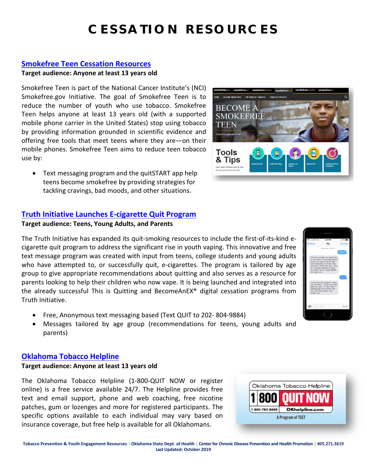### **CESSATION RESOURCES**

#### **[Smokefree Teen Cessation Resources](https://teen.smokefree.gov/)**

#### **Target audience: Anyone at least 13 years old**

Smokefree Teen is part of the National Cancer Institute's (NCI) Smokefree.gov Initiative. The goal of Smokefree Teen is to reduce the number of youth who use tobacco. Smokefree Teen helps anyone at least 13 years old (with a supported mobile phone carrier in the United States) stop using tobacco by providing information grounded in scientific evidence and offering free tools that meet teens where they are—on their mobile phones. Smokefree Teen aims to reduce teen tobacco use by:

• Text messaging program and the quitSTART app help teens become smokefree by providing strategies for tackling cravings, bad moods, and other situations.

#### **[Truth Initiative Launches E-cigarette Quit Program](http://www.truthinitiative.org/quitecigarettes)**

#### **Target audience: Teens, Young Adults, and Parents**

The Truth Initiative has expanded its quit-smoking resources to include the first-of-its-kind ecigarette quit program to address the significant rise in youth vaping. This innovative and free text message program was created with input from teens, college students and young adults who have attempted to, or successfully quit, e-cigarettes. The program is tailored by age group to give appropriate recommendations about quitting and also serves as a resource for parents looking to help their children who now vape. It is being launched and integrated into the already successful This is Quitting and BecomeAnEX® digital cessation programs from Truth Initiative.

- Free, Anonymous text messaging based (Text QUIT to 202- 804-9884)
- Messages tailored by age group (recommendations for teens, young adults and parents)

#### **[Oklahoma Tobacco Helpline](https://okhelpline.com/)**

#### **Target audience: Anyone at least 13 years old**

The Oklahoma Tobacco Helpline (1-800-QUIT NOW or register online) is a free service available 24/7. The Helpline provides free text and email support, phone and web coaching, free nicotine patches, gum or lozenges and more for registered participants. The specific options available to each individual may vary based on insurance coverage, but free help is available for all Oklahomans.





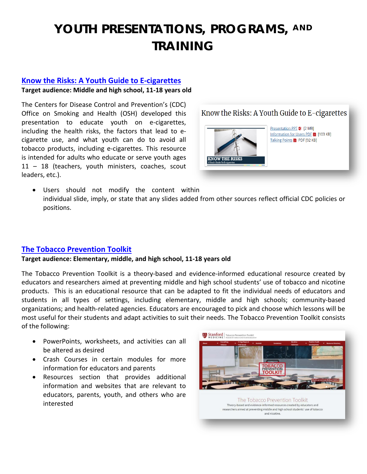#### **[Know the Risks: A Youth Guide to E-cigarettes](https://www.cdc.gov/tobacco/basic_information/e-cigarettes/youth-guide-to-e-cigarettes-presentation.html)**

#### **Target audience: Middle and high school, 11-18 years old**

The Centers for Disease Control and Prevention's (CDC) Office on Smoking and Health (OSH) developed this presentation to educate youth on e-cigarettes, including the health risks, the factors that lead to ecigarette use, and what youth can do to avoid all tobacco products, including e-cigarettes. This resource is intended for adults who educate or serve youth ages 11 – 18 (teachers, youth ministers, coaches, scout leaders, etc.).

Know the Risks: A Youth Guide to E-cigarettes



• Users should not modify the content within individual slide, imply, or state that any slides added from other sources reflect official CDC policies or positions.

#### **[The Tobacco Prevention Toolkit](https://med.stanford.edu/tobaccopreventiontoolkit/about.html)**

#### **Target audience: Elementary, middle, and high school, 11-18 years old**

The Tobacco Prevention Toolkit is a theory-based and evidence-informed educational resource created by educators and researchers aimed at preventing middle and high school students' use of tobacco and nicotine products. This is an educational resource that can be adapted to fit the individual needs of educators and students in all types of settings, including elementary, middle and high schools; community-based organizations; and health-related agencies. Educators are encouraged to pick and choose which lessons will be most useful for their students and adapt activities to suit their needs. The Tobacco Prevention Toolkit consists of the following:

- PowerPoints, worksheets, and activities can all be altered as desired
- Crash Courses in certain modules for more information for educators and parents
- Resources section that provides additional information and websites that are relevant to educators, parents, youth, and others who are interested

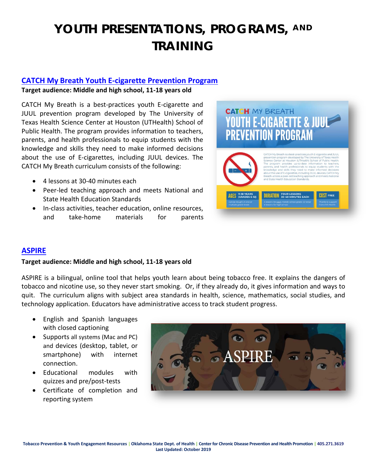#### **[CATCH My Breath Youth E-cigarette Prevention Program](https://catchinfo.org/modules/e-cigarettes/)**

#### **Target audience: Middle and high school, 11-18 years old**

CATCH My Breath is a best-practices youth E-cigarette and JUUL prevention program developed by The University of Texas Health Science Center at Houston (UTHealth) School of Public Health. The program provides information to teachers, parents, and health professionals to equip students with the knowledge and skills they need to make informed decisions about the use of E-cigarettes, including JUUL devices. The CATCH My Breath curriculum consists of the following:

- 4 lessons at 30-40 minutes each
- Peer-led teaching approach and meets National and State Health Education Standards
- In-class activities, teacher education, online resources, and take-home materials for parents



#### **[ASPIRE](https://www.mdanderson.org/about-md-anderson/community-services/aspire.html)**

#### **Target audience: Middle and high school, 11-18 years old**

ASPIRE is a bilingual, online tool that helps youth learn about being tobacco free. It explains the dangers of tobacco and nicotine use, so they never start smoking. Or, if they already do, it gives information and ways to quit. The curriculum aligns with subject area standards in health, science, mathematics, social studies, and technology application. Educators have administrative access to track student progress.

- English and Spanish languages with closed captioning
- Supports all systems (Mac and PC) and devices (desktop, tablet, or smartphone) with internet connection.
- Educational modules with quizzes and pre/post-tests
- Certificate of completion and reporting system

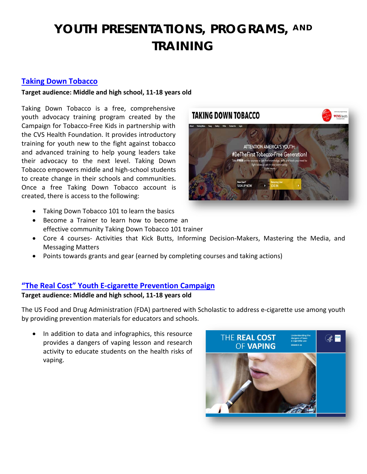#### **[Taking Down Tobacco](https://www.takingdowntobacco.org/)**

#### **Target audience: Middle and high school, 11-18 years old**

Taking Down Tobacco is a free, comprehensive youth advocacy training program created by the Campaign for Tobacco-Free Kids in partnership with the CVS Health Foundation. It provides introductory training for youth new to the fight against tobacco and advanced training to help young leaders take their advocacy to the next level. Taking Down Tobacco empowers middle and high-school students to create change in their schools and communities. Once a free Taking Down Tobacco account is created, there is access to the following:

- Taking Down Tobacco 101 to learn the basics
- Become a Trainer to learn how to become an effective community Taking Down Tobacco 101 trainer
- Core 4 courses- Activities that Kick Butts, Informing Decision-Makers, Mastering the Media, and Messaging Matters
- Points towards grants and gear (earned by completing courses and taking actions)

#### **["The Real Cost" Youth E-cigarette Prevention Campaign](http://www.scholastic.com/youthvapingrisks/?eml=snp/e/20181116////FDA/////&ET_CID=20181116_SNP_FDA_ACQ_24449&ET_RID=1414772458)**

#### **Target audience: Middle and high school, 11-18 years old**

The US Food and Drug Administration (FDA) partnered with Scholastic to address e-cigarette use among youth by providing prevention materials for educators and schools.

In addition to data and infographics, this resource provides a dangers of vaping lesson and research activity to educate students on the health risks of vaping.



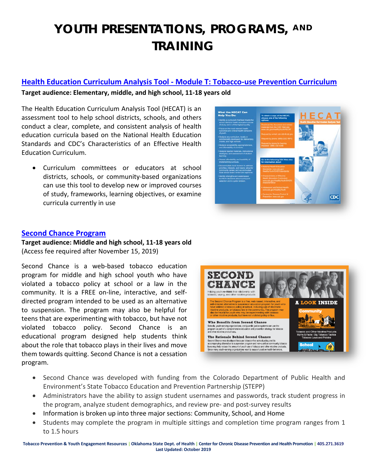#### **Health Education Curriculum Analysis Tool - [Module T: Tobacco-use Prevention Curriculum](https://www.cdc.gov/healthyyouth/hecat/pdf/HECAT_Module_T.pdf)**

#### **Target audience: Elementary, middle, and high school, 11-18 years old**

The Health Education Curriculum Analysis Tool (HECAT) is an assessment tool to help school districts, schools, and others conduct a clear, complete, and consistent analysis of health education curricula based on the National Health Education Standards and CDC's Characteristics of an Effective Health Education Curriculum.

• Curriculum committees or educators at school districts, schools, or community-based organizations can use this tool to develop new or improved courses of study, frameworks, learning objectives, or examine curricula currently in use



#### **[Second Chance Program](https://www.secondchancetobacco.org/demo/)**

**Target audience: Middle and high school, 11-18 years old**  (Access fee required after November 15, 2019)

Second Chance is a web-based tobacco education program for middle and high school youth who have violated a tobacco policy at school or a law in the community. It is a FREE on-line, interactive, and selfdirected program intended to be used as an alternative to suspension. The program may also be helpful for teens that are experimenting with tobacco, but have not violated tobacco policy. Second Chance is an educational program designed help students think about the role that tobacco plays in their lives and move them towards quitting. Second Chance is not a cessation program.



- Second Chance was developed with funding from the Colorado Department of Public Health and Environment's State Tobacco Education and Prevention Partnership (STEPP)
- Administrators have the ability to assign student usernames and passwords, track student progress in the program, analyze student demographics, and review pre- and post-survey results
- Information is broken up into three major sections: Community, School, and Home
- Students may complete the program in multiple sittings and completion time program ranges from 1 to 1.5 hours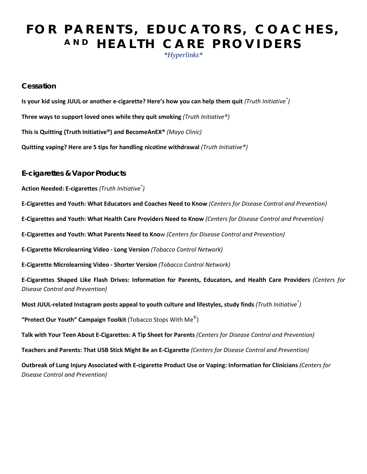### **FOR PARENTS, EDUCATORS, COACHES, AND HEALTH CARE PROVIDERS**

*\*Hyperlinks\**

#### **Cessation**

**[Is your kid using JUUL or another e-cigarette? Here's how you can help them quit](https://truthinitiative.org/research-resources/quitting-smoking-vaping/your-kid-using-juul-or-another-e-cigarette-heres-how-you)** *(Truth Initiative® )* **[Three ways to support loved ones while they quit smoking](https://truthinitiative.org/research-resources/quitting-smoking-vaping/three-ways-support-loved-ones-while-they-quit-smoking)** *(Truth Initiative®)* **[This is Quitting](https://www.thetruth.com/articles/hot-topic/quit-vaping) (Truth Initiative®) an[d BecomeAnEX®](https://www.becomeanex.org/)** *(Mayo Clinic)* **[Quitting vaping? Here are 5 tips for handling nicotine withdrawal](https://truthinitiative.org/research-resources/quitting-smoking-vaping/quitting-vaping-here-are-5-tips-handling-nicotine)** *(Truth Initiative®)*

**E-cigarettes & Vapor Products**

**[Action Needed: E-cigarettes](https://truthinitiative.org/sites/default/files/media/files/2019/03/E-Cigarette%20Action%20Needed%20Factsheet_FINAL.pdf)** *(Truth Initiative® )*

**[E-Cigarettes and Youth: What Educators and Coaches Need to Know](https://www.cdc.gov/tobacco/basic_information/e-cigarettes/pdfs/OSH-E-Cigarettes-and-Youth-What-Educators-and-Coaches-Need-to-Know-20190327-508.pdf)** *(Centers for Disease Control and Prevention)*

**[E-Cigarettes and Youth: What Health Care Providers Need to Know](https://www.cdc.gov/tobacco/basic_information/e-cigarettes/pdfs/OSH-E-Cigarettes-and-Youth-What-HCPs-Need-to-Know-20190327-508.pdf)** *(Centers for Disease Control and Prevention)*

**[E-Cigarettes and Youth: What Parents Need to Kno](https://www.cdc.gov/tobacco/basic_information/e-cigarettes/pdfs/OSH-E-Cigarettes-and-Youth-What-Parents-Need-to-Know-20190327-508.pdf)**w *(Centers for Disease Control and Prevention)*

**[E-Cigarette Microlearning Video -](https://youtu.be/si0LzMwN2l4) Long Version** *(Tobacco Control Network)*

**[E-Cigarette Microlearning Video -](https://youtu.be/5aLiIrPQnAc) Shorter Version** *(Tobacco Control Network)*

**[E-Cigarettes Shaped Like Flash Drives: Information for Parents, Educators, and Health Care Providers](https://www.cdc.gov/tobacco/basic_information/e-cigarettes/factsheet/pdfs/e-cigarettes-usb-flash-p.pdf)** *(Centers for Disease Control and Prevention)*

**[Most JUUL-related Instagram posts appeal to youth culture and lifestyles, study finds](https://truthinitiative.org/research-resources/emerging-tobacco-products/most-juul-related-instagram-posts-appeal-youth-culture)** *(Truth Initiative® )*

**["Protect Our Youth" Campaign Toolkit](https://stopswithme.com/wp-content/uploads/2019/09/27695-TSET-TSWM-Toolkits-Protect-Our-Youth-F.pdf)** (Tobacco Stops With Me©)

**[Talk with Your Teen About E-Cigarettes: A Tip Sheet for Parents](https://e-cigarettes.surgeongeneral.gov/documents/SGR_ECig_ParentTipSheet_508.pdf)** *(Centers for Disease Control and Prevention)*

**[Teachers and Parents: That USB Stick Might Be an E-Cigarette](https://www.cdc.gov/tobacco/basic_information/e-cigarettes/teacher-parent/pdfs/parent-teacher-ecig-p.pdf)** *(Centers for Disease Control and Prevention)*

**[Outbreak of Lung Injury Associated with E-cigarette Product Use or Vaping: Information for Clinicians](https://emergency.cdc.gov/coca/ppt/2019/COCA_Call_Outbreak_of_lung_injury_ecigarettes_09.19.19_Final.pdf)** *(Centers for Disease Control and Prevention)*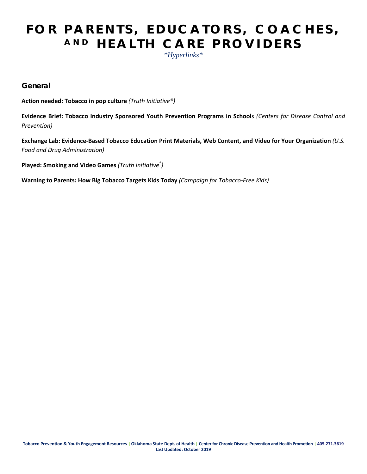### **FOR PARENTS, EDUCATORS, COACHES, AND HEALTH CARE PROVIDERS**

*\*Hyperlinks\**

**General**

**[Action needed: Tobacco in pop culture](https://truthinitiative.org/research-resources/tobacco-pop-culture/action-needed-tobacco-pop-culture)** *(Truth Initiative®)*

**[Evidence Brief: Tobacco Industry Sponsored Youth Prevention Programs in School](https://www.cdc.gov/tobacco/basic_information/youth/evidence-brief/pdfs/tobacco-industry-sponsored-youth-prevention-programs-p.pdf)**s *(Centers for Disease Control and Prevention)*

**[Exchange Lab: Evidence-Based Tobacco Education Print Materials, Web Content, and Video for Your Organization](https://digitalmedia.hhs.gov/tobacco/)** *(U.S. Food and Drug Administration)*

**[Played: Smoking and Video Games](https://truthinitiative.org/sites/default/files/media/files/2019/03/Played-Smoking-in-Video-Games-2017.pdf)** *(Truth Initiative® )*

**[Warning to Parents: How Big Tobacco Targets Kids Today](https://www.tobaccofreekids.org/assets/content/what_we_do/industry_watch/warning_to_parents/report_warningtoparents_20120321.pdf)** *(Campaign for Tobacco-Free Kids)*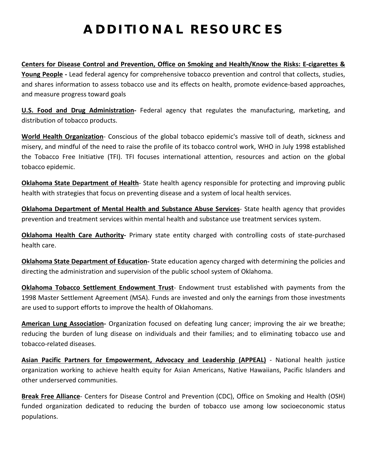### **ADDITIONAL RESOURCES**

**[Centers for Disease Control and Prevention, Office on Smoking and Health](https://www.cdc.gov/tobacco/)[/Know the Risks: E-cigarettes &](https://e-cigarettes.surgeongeneral.gov/getthefacts.html)  [Young People](https://e-cigarettes.surgeongeneral.gov/getthefacts.html) -** Lead federal agency for comprehensive tobacco prevention and control that collects, studies, and shares information to assess tobacco use and its effects on health, promote evidence-based approaches, and measure progress toward goals

**[U.S. Food and Drug Administration-](https://www.fda.gov/TobaccoProducts/default.htm)** Federal agency that regulates the manufacturing, marketing, and distribution of tobacco products.

**[World Health Organization](https://www.who.int/tobacco/about/en/)**- Conscious of the global tobacco epidemic's massive toll of death, sickness and misery, and mindful of the need to raise the profile of its tobacco control work, WHO in July 1998 established the Tobacco Free Initiative (TFI). TFI focuses international attention, resources and action on the global tobacco epidemic.

**[Oklahoma State Department of Health](https://www.ok.gov/health/Health_Promotion/Tobacco_Initiatives/index.html)**- State health agency responsible for protecting and improving public health with strategies that focus on preventing disease and a system of local health services.

**[Oklahoma Department of Mental Health and Substance Abuse Services](https://www.ok.gov/odmhsas/Prevention_/Prevention_Initiatives/index.html)**- State health agency that provides prevention and treatment services within mental health and substance use treatment services system.

**[Oklahoma Health Care Authority-](http://okhca.org/)** Primary state entity charged with controlling costs of state-purchased health care.

**[Oklahoma State Department of Education-](https://sde.ok.gov/)** State education agency charged with determining the policies and directing the administration and supervision of the public school system of Oklahoma.

**[Oklahoma Tobacco Settlement Endowment Trust](https://tset.ok.gov/)**- Endowment trust established with payments from the 1998 Master Settlement Agreement (MSA). Funds are invested and only the earnings from those investments are used to support efforts to improve the health of Oklahomans.

**[American Lung Association-](https://www.lung.org/)** Organization focused on defeating lung cancer; improving the air we breathe; reducing the burden of lung disease on individuals and their families; and to eliminating tobacco use and tobacco-related diseases.

**[Asian Pacific Partners for Empowerment, Advocacy and Leadership \(APPEAL\)](https://appealforhealth.org/)** - National health justice organization working to achieve health equity for Asian Americans, Native Hawaiians, Pacific Islanders and other underserved communities.

**[Break Free Alliance](http://http/www.healthedcouncil.org/)**- Centers for Disease Control and Prevention (CDC), Office on Smoking and Health (OSH) funded organization dedicated to reducing the burden of tobacco use among low socioeconomic status populations.